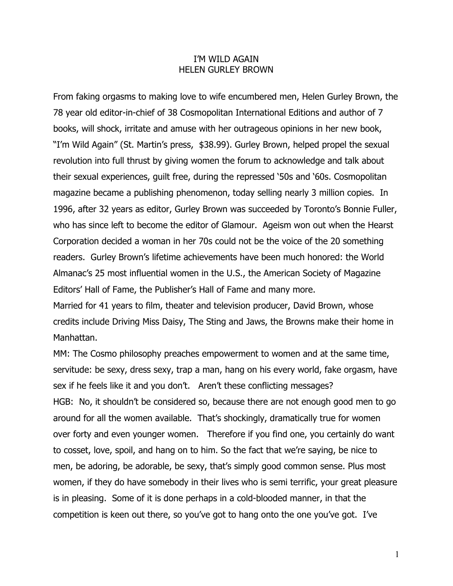## I'M WILD AGAIN HELEN GURLEY BROWN

From faking orgasms to making love to wife encumbered men, Helen Gurley Brown, the 78 year old editor-in-chief of 38 Cosmopolitan International Editions and author of 7 books, will shock, irritate and amuse with her outrageous opinions in her new book, "I'm Wild Again" (St. Martin's press, \$38.99). Gurley Brown, helped propel the sexual revolution into full thrust by giving women the forum to acknowledge and talk about their sexual experiences, guilt free, during the repressed '50s and '60s. Cosmopolitan magazine became a publishing phenomenon, today selling nearly 3 million copies. In 1996, after 32 years as editor, Gurley Brown was succeeded by Toronto's Bonnie Fuller, who has since left to become the editor of Glamour. Ageism won out when the Hearst Corporation decided a woman in her 70s could not be the voice of the 20 something readers. Gurley Brown's lifetime achievements have been much honored: the World Almanac's 25 most influential women in the U.S., the American Society of Magazine Editors' Hall of Fame, the Publisher's Hall of Fame and many more.

Married for 41 years to film, theater and television producer, David Brown, whose credits include Driving Miss Daisy, The Sting and Jaws, the Browns make their home in Manhattan.

MM: The Cosmo philosophy preaches empowerment to women and at the same time, servitude: be sexy, dress sexy, trap a man, hang on his every world, fake orgasm, have sex if he feels like it and you don't. Aren't these conflicting messages? HGB: No, it shouldn't be considered so, because there are not enough good men to go around for all the women available. That's shockingly, dramatically true for women over forty and even younger women. Therefore if you find one, you certainly do want to cosset, love, spoil, and hang on to him. So the fact that we're saying, be nice to men, be adoring, be adorable, be sexy, that's simply good common sense. Plus most women, if they do have somebody in their lives who is semi terrific, your great pleasure is in pleasing. Some of it is done perhaps in a cold-blooded manner, in that the competition is keen out there, so you've got to hang onto the one you've got. I've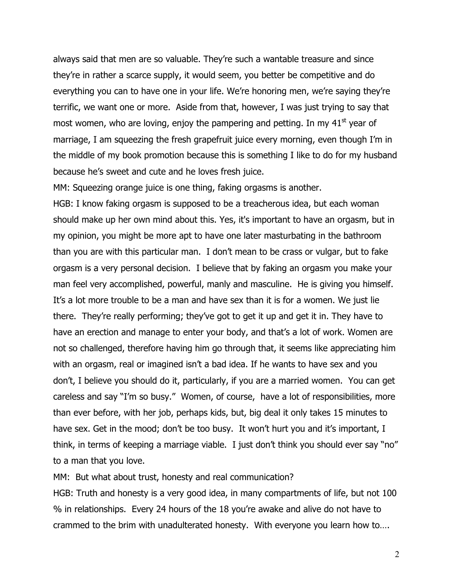always said that men are so valuable. They're such a wantable treasure and since they're in rather a scarce supply, it would seem, you better be competitive and do everything you can to have one in your life. We're honoring men, we're saying they're terrific, we want one or more. Aside from that, however, I was just trying to say that most women, who are loving, enjoy the pampering and petting. In my  $41<sup>st</sup>$  year of marriage, I am squeezing the fresh grapefruit juice every morning, even though I'm in the middle of my book promotion because this is something I like to do for my husband because he's sweet and cute and he loves fresh juice.

MM: Squeezing orange juice is one thing, faking orgasms is another.

HGB: I know faking orgasm is supposed to be a treacherous idea, but each woman should make up her own mind about this. Yes, it's important to have an orgasm, but in my opinion, you might be more apt to have one later masturbating in the bathroom than you are with this particular man. I don't mean to be crass or vulgar, but to fake orgasm is a very personal decision. I believe that by faking an orgasm you make your man feel very accomplished, powerful, manly and masculine. He is giving you himself. It's a lot more trouble to be a man and have sex than it is for a women. We just lie there. They're really performing; they've got to get it up and get it in. They have to have an erection and manage to enter your body, and that's a lot of work. Women are not so challenged, therefore having him go through that, it seems like appreciating him with an orgasm, real or imagined isn't a bad idea. If he wants to have sex and you don't, I believe you should do it, particularly, if you are a married women. You can get careless and say "I'm so busy." Women, of course, have a lot of responsibilities, more than ever before, with her job, perhaps kids, but, big deal it only takes 15 minutes to have sex. Get in the mood; don't be too busy. It won't hurt you and it's important, I think, in terms of keeping a marriage viable. I just don't think you should ever say "no" to a man that you love.

MM: But what about trust, honesty and real communication?

HGB: Truth and honesty is a very good idea, in many compartments of life, but not 100 % in relationships. Every 24 hours of the 18 you're awake and alive do not have to crammed to the brim with unadulterated honesty. With everyone you learn how to….

2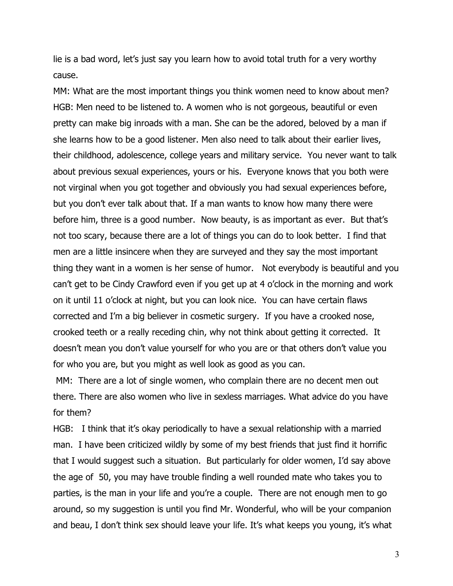lie is a bad word, let's just say you learn how to avoid total truth for a very worthy cause.

MM: What are the most important things you think women need to know about men? HGB: Men need to be listened to. A women who is not gorgeous, beautiful or even pretty can make big inroads with a man. She can be the adored, beloved by a man if she learns how to be a good listener. Men also need to talk about their earlier lives, their childhood, adolescence, college years and military service. You never want to talk about previous sexual experiences, yours or his. Everyone knows that you both were not virginal when you got together and obviously you had sexual experiences before, but you don't ever talk about that. If a man wants to know how many there were before him, three is a good number. Now beauty, is as important as ever. But that's not too scary, because there are a lot of things you can do to look better. I find that men are a little insincere when they are surveyed and they say the most important thing they want in a women is her sense of humor. Not everybody is beautiful and you can't get to be Cindy Crawford even if you get up at 4 o'clock in the morning and work on it until 11 o'clock at night, but you can look nice. You can have certain flaws corrected and I'm a big believer in cosmetic surgery. If you have a crooked nose, crooked teeth or a really receding chin, why not think about getting it corrected. It doesn't mean you don't value yourself for who you are or that others don't value you for who you are, but you might as well look as good as you can.

MM: There are a lot of single women, who complain there are no decent men out there. There are also women who live in sexless marriages. What advice do you have for them?

HGB: I think that it's okay periodically to have a sexual relationship with a married man. I have been criticized wildly by some of my best friends that just find it horrific that I would suggest such a situation. But particularly for older women, I'd say above the age of 50, you may have trouble finding a well rounded mate who takes you to parties, is the man in your life and you're a couple. There are not enough men to go around, so my suggestion is until you find Mr. Wonderful, who will be your companion and beau, I don't think sex should leave your life. It's what keeps you young, it's what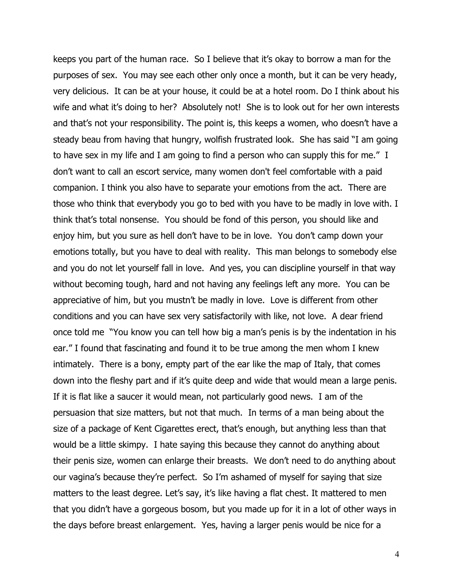keeps you part of the human race. So I believe that it's okay to borrow a man for the purposes of sex. You may see each other only once a month, but it can be very heady, very delicious. It can be at your house, it could be at a hotel room. Do I think about his wife and what it's doing to her? Absolutely not! She is to look out for her own interests and that's not your responsibility. The point is, this keeps a women, who doesn't have a steady beau from having that hungry, wolfish frustrated look. She has said "I am going to have sex in my life and I am going to find a person who can supply this for me." I don't want to call an escort service, many women don't feel comfortable with a paid companion. I think you also have to separate your emotions from the act. There are those who think that everybody you go to bed with you have to be madly in love with. I think that's total nonsense. You should be fond of this person, you should like and enjoy him, but you sure as hell don't have to be in love. You don't camp down your emotions totally, but you have to deal with reality. This man belongs to somebody else and you do not let yourself fall in love. And yes, you can discipline yourself in that way without becoming tough, hard and not having any feelings left any more. You can be appreciative of him, but you mustn't be madly in love. Love is different from other conditions and you can have sex very satisfactorily with like, not love. A dear friend once told me "You know you can tell how big a man's penis is by the indentation in his ear." I found that fascinating and found it to be true among the men whom I knew intimately. There is a bony, empty part of the ear like the map of Italy, that comes down into the fleshy part and if it's quite deep and wide that would mean a large penis. If it is flat like a saucer it would mean, not particularly good news. I am of the persuasion that size matters, but not that much. In terms of a man being about the size of a package of Kent Cigarettes erect, that's enough, but anything less than that would be a little skimpy. I hate saying this because they cannot do anything about their penis size, women can enlarge their breasts. We don't need to do anything about our vagina's because they're perfect. So I'm ashamed of myself for saying that size matters to the least degree. Let's say, it's like having a flat chest. It mattered to men that you didn't have a gorgeous bosom, but you made up for it in a lot of other ways in the days before breast enlargement. Yes, having a larger penis would be nice for a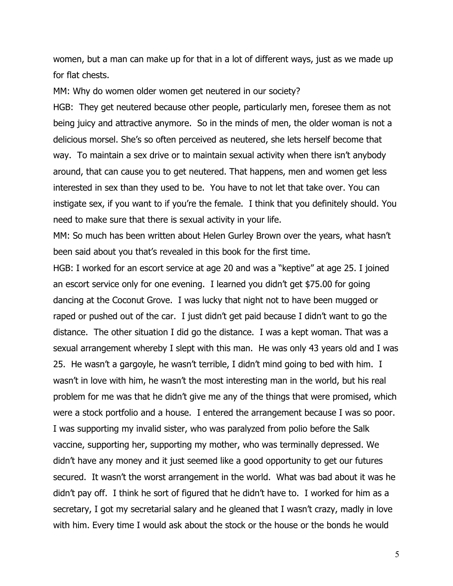women, but a man can make up for that in a lot of different ways, just as we made up for flat chests.

MM: Why do women older women get neutered in our society?

HGB: They get neutered because other people, particularly men, foresee them as not being juicy and attractive anymore. So in the minds of men, the older woman is not a delicious morsel. She's so often perceived as neutered, she lets herself become that way. To maintain a sex drive or to maintain sexual activity when there isn't anybody around, that can cause you to get neutered. That happens, men and women get less interested in sex than they used to be. You have to not let that take over. You can instigate sex, if you want to if you're the female. I think that you definitely should. You need to make sure that there is sexual activity in your life.

MM: So much has been written about Helen Gurley Brown over the years, what hasn't been said about you that's revealed in this book for the first time.

HGB: I worked for an escort service at age 20 and was a "keptive" at age 25. I joined an escort service only for one evening. I learned you didn't get \$75.00 for going dancing at the Coconut Grove. I was lucky that night not to have been mugged or raped or pushed out of the car. I just didn't get paid because I didn't want to go the distance. The other situation I did go the distance. I was a kept woman. That was a sexual arrangement whereby I slept with this man. He was only 43 years old and I was 25. He wasn't a gargoyle, he wasn't terrible, I didn't mind going to bed with him. I wasn't in love with him, he wasn't the most interesting man in the world, but his real problem for me was that he didn't give me any of the things that were promised, which were a stock portfolio and a house. I entered the arrangement because I was so poor. I was supporting my invalid sister, who was paralyzed from polio before the Salk vaccine, supporting her, supporting my mother, who was terminally depressed. We didn't have any money and it just seemed like a good opportunity to get our futures secured. It wasn't the worst arrangement in the world. What was bad about it was he didn't pay off. I think he sort of figured that he didn't have to. I worked for him as a secretary, I got my secretarial salary and he gleaned that I wasn't crazy, madly in love with him. Every time I would ask about the stock or the house or the bonds he would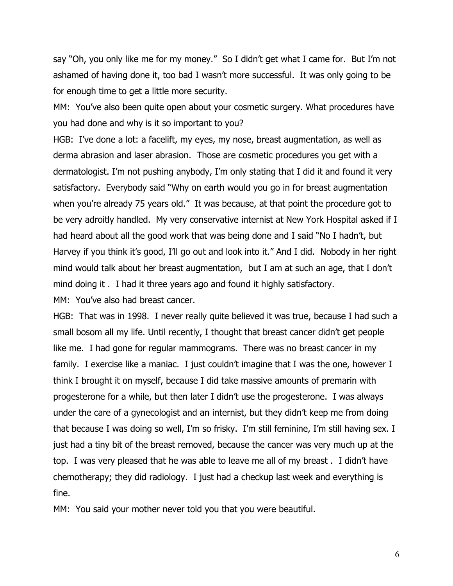say "Oh, you only like me for my money." So I didn't get what I came for. But I'm not ashamed of having done it, too bad I wasn't more successful. It was only going to be for enough time to get a little more security.

MM: You've also been quite open about your cosmetic surgery. What procedures have you had done and why is it so important to you?

HGB: I've done a lot: a facelift, my eyes, my nose, breast augmentation, as well as derma abrasion and laser abrasion. Those are cosmetic procedures you get with a dermatologist. I'm not pushing anybody, I'm only stating that I did it and found it very satisfactory. Everybody said "Why on earth would you go in for breast augmentation when you're already 75 years old." It was because, at that point the procedure got to be very adroitly handled. My very conservative internist at New York Hospital asked if I had heard about all the good work that was being done and I said "No I hadn't, but Harvey if you think it's good, I'll go out and look into it." And I did. Nobody in her right mind would talk about her breast augmentation, but I am at such an age, that I don't mind doing it . I had it three years ago and found it highly satisfactory.

MM: You've also had breast cancer.

HGB: That was in 1998. I never really quite believed it was true, because I had such a small bosom all my life. Until recently, I thought that breast cancer didn't get people like me. I had gone for regular mammograms. There was no breast cancer in my family. I exercise like a maniac. I just couldn't imagine that I was the one, however I think I brought it on myself, because I did take massive amounts of premarin with progesterone for a while, but then later I didn't use the progesterone. I was always under the care of a gynecologist and an internist, but they didn't keep me from doing that because I was doing so well, I'm so frisky. I'm still feminine, I'm still having sex. I just had a tiny bit of the breast removed, because the cancer was very much up at the top. I was very pleased that he was able to leave me all of my breast . I didn't have chemotherapy; they did radiology. I just had a checkup last week and everything is fine.

MM: You said your mother never told you that you were beautiful.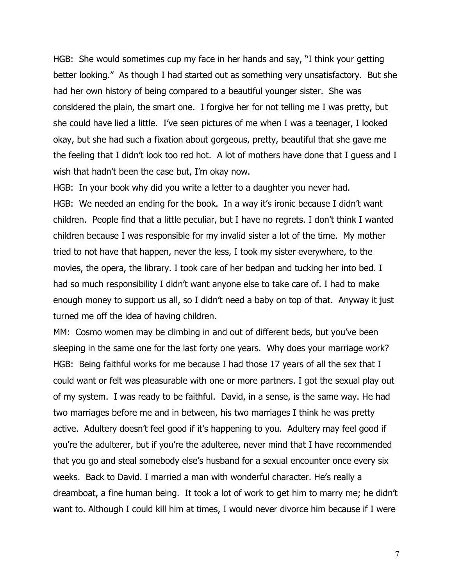HGB: She would sometimes cup my face in her hands and say, "I think your getting better looking." As though I had started out as something very unsatisfactory. But she had her own history of being compared to a beautiful younger sister. She was considered the plain, the smart one. I forgive her for not telling me I was pretty, but she could have lied a little. I've seen pictures of me when I was a teenager, I looked okay, but she had such a fixation about gorgeous, pretty, beautiful that she gave me the feeling that I didn't look too red hot. A lot of mothers have done that I guess and I wish that hadn't been the case but, I'm okay now.

HGB: In your book why did you write a letter to a daughter you never had. HGB: We needed an ending for the book. In a way it's ironic because I didn't want children. People find that a little peculiar, but I have no regrets. I don't think I wanted children because I was responsible for my invalid sister a lot of the time. My mother tried to not have that happen, never the less, I took my sister everywhere, to the movies, the opera, the library. I took care of her bedpan and tucking her into bed. I had so much responsibility I didn't want anyone else to take care of. I had to make enough money to support us all, so I didn't need a baby on top of that. Anyway it just turned me off the idea of having children.

MM: Cosmo women may be climbing in and out of different beds, but you've been sleeping in the same one for the last forty one years. Why does your marriage work? HGB: Being faithful works for me because I had those 17 years of all the sex that I could want or felt was pleasurable with one or more partners. I got the sexual play out of my system. I was ready to be faithful. David, in a sense, is the same way. He had two marriages before me and in between, his two marriages I think he was pretty active. Adultery doesn't feel good if it's happening to you. Adultery may feel good if you're the adulterer, but if you're the adulteree, never mind that I have recommended that you go and steal somebody else's husband for a sexual encounter once every six weeks. Back to David. I married a man with wonderful character. He's really a dreamboat, a fine human being. It took a lot of work to get him to marry me; he didn't want to. Although I could kill him at times, I would never divorce him because if I were

7